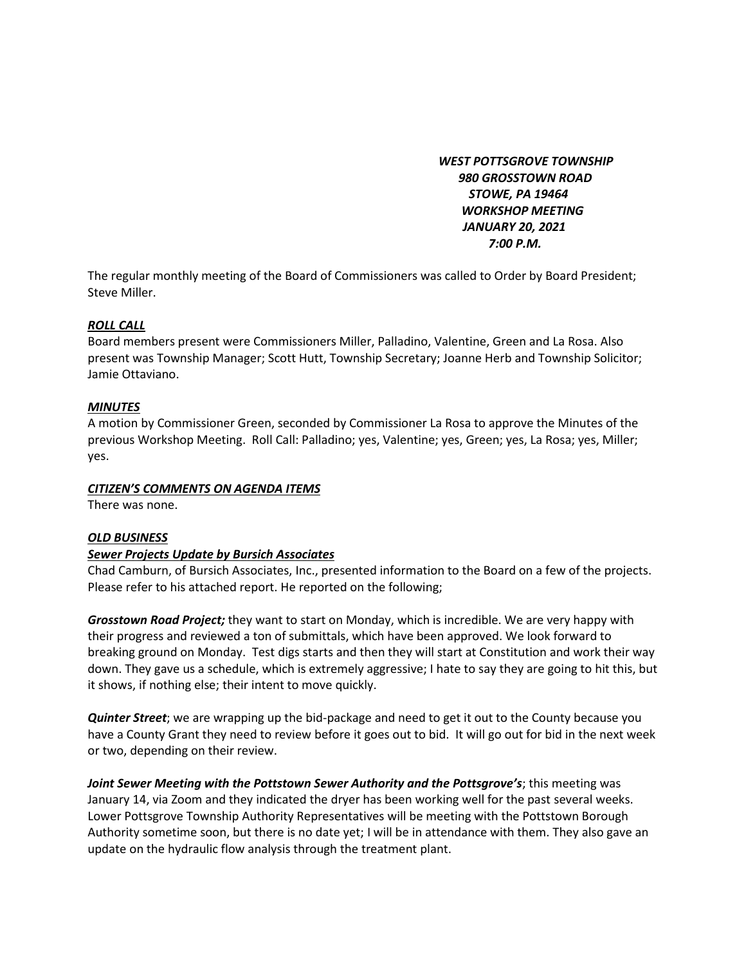*WEST POTTSGROVE TOWNSHIP 980 GROSSTOWN ROAD STOWE, PA 19464 WORKSHOP MEETING JANUARY 20, 2021 7:00 P.M.*

The regular monthly meeting of the Board of Commissioners was called to Order by Board President; Steve Miller.

## *ROLL CALL*

Board members present were Commissioners Miller, Palladino, Valentine, Green and La Rosa. Also present was Township Manager; Scott Hutt, Township Secretary; Joanne Herb and Township Solicitor; Jamie Ottaviano.

#### *MINUTES*

A motion by Commissioner Green, seconded by Commissioner La Rosa to approve the Minutes of the previous Workshop Meeting. Roll Call: Palladino; yes, Valentine; yes, Green; yes, La Rosa; yes, Miller; yes.

#### *CITIZEN'S COMMENTS ON AGENDA ITEMS*

There was none.

#### *OLD BUSINESS*

#### *Sewer Projects Update by Bursich Associates*

Chad Camburn, of Bursich Associates, Inc., presented information to the Board on a few of the projects. Please refer to his attached report. He reported on the following;

*Grosstown Road Project;* they want to start on Monday, which is incredible. We are very happy with their progress and reviewed a ton of submittals, which have been approved. We look forward to breaking ground on Monday. Test digs starts and then they will start at Constitution and work their way down. They gave us a schedule, which is extremely aggressive; I hate to say they are going to hit this, but it shows, if nothing else; their intent to move quickly.

*Quinter Street*; we are wrapping up the bid-package and need to get it out to the County because you have a County Grant they need to review before it goes out to bid. It will go out for bid in the next week or two, depending on their review.

*Joint Sewer Meeting with the Pottstown Sewer Authority and the Pottsgrove's*; this meeting was January 14, via Zoom and they indicated the dryer has been working well for the past several weeks. Lower Pottsgrove Township Authority Representatives will be meeting with the Pottstown Borough Authority sometime soon, but there is no date yet; I will be in attendance with them. They also gave an update on the hydraulic flow analysis through the treatment plant.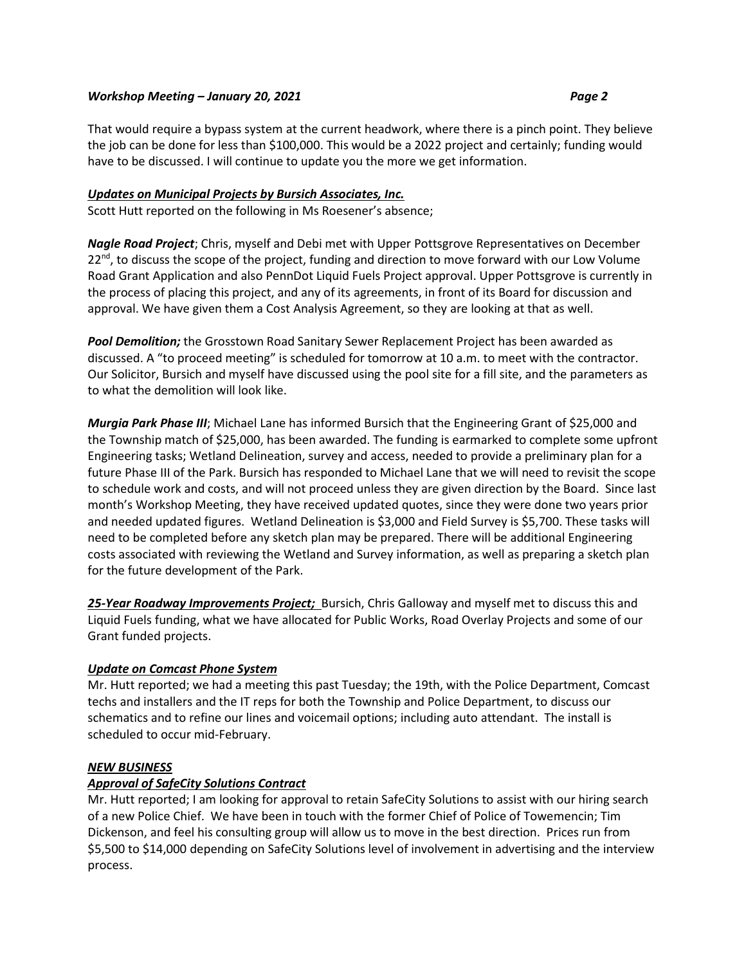#### *Workshop Meeting – January 20, 2021 Page 2*

# That would require a bypass system at the current headwork, where there is a pinch point. They believe the job can be done for less than \$100,000. This would be a 2022 project and certainly; funding would have to be discussed. I will continue to update you the more we get information.

# *Updates on Municipal Projects by Bursich Associates, Inc.*

Scott Hutt reported on the following in Ms Roesener's absence;

*Nagle Road Project*; Chris, myself and Debi met with Upper Pottsgrove Representatives on December 22<sup>nd</sup>, to discuss the scope of the project, funding and direction to move forward with our Low Volume Road Grant Application and also PennDot Liquid Fuels Project approval. Upper Pottsgrove is currently in the process of placing this project, and any of its agreements, in front of its Board for discussion and approval. We have given them a Cost Analysis Agreement, so they are looking at that as well.

*Pool Demolition;* the Grosstown Road Sanitary Sewer Replacement Project has been awarded as discussed. A "to proceed meeting" is scheduled for tomorrow at 10 a.m. to meet with the contractor. Our Solicitor, Bursich and myself have discussed using the pool site for a fill site, and the parameters as to what the demolition will look like.

*Murgia Park Phase III*; Michael Lane has informed Bursich that the Engineering Grant of \$25,000 and the Township match of \$25,000, has been awarded. The funding is earmarked to complete some upfront Engineering tasks; Wetland Delineation, survey and access, needed to provide a preliminary plan for a future Phase III of the Park. Bursich has responded to Michael Lane that we will need to revisit the scope to schedule work and costs, and will not proceed unless they are given direction by the Board. Since last month's Workshop Meeting, they have received updated quotes, since they were done two years prior and needed updated figures. Wetland Delineation is \$3,000 and Field Survey is \$5,700. These tasks will need to be completed before any sketch plan may be prepared. There will be additional Engineering costs associated with reviewing the Wetland and Survey information, as well as preparing a sketch plan for the future development of the Park.

25-Year Roadway Improvements Project; Bursich, Chris Galloway and myself met to discuss this and Liquid Fuels funding, what we have allocated for Public Works, Road Overlay Projects and some of our Grant funded projects.

## *Update on Comcast Phone System*

Mr. Hutt reported; we had a meeting this past Tuesday; the 19th, with the Police Department, Comcast techs and installers and the IT reps for both the Township and Police Department, to discuss our schematics and to refine our lines and voicemail options; including auto attendant. The install is scheduled to occur mid-February.

## *NEW BUSINESS*

## *Approval of SafeCity Solutions Contract*

Mr. Hutt reported; I am looking for approval to retain SafeCity Solutions to assist with our hiring search of a new Police Chief. We have been in touch with the former Chief of Police of Towemencin; Tim Dickenson, and feel his consulting group will allow us to move in the best direction. Prices run from \$5,500 to \$14,000 depending on SafeCity Solutions level of involvement in advertising and the interview process.